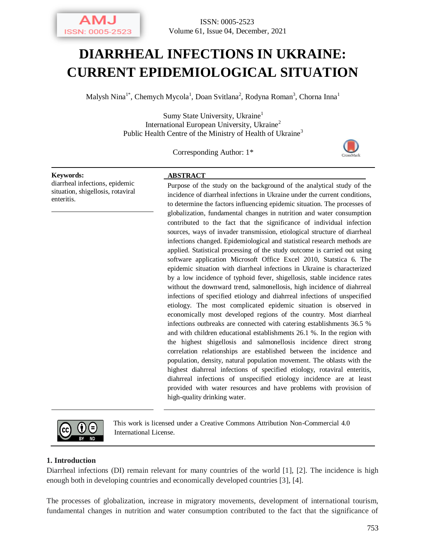

# **DIARRHEAL INFECTIONS IN UKRAINE: CURRENT EPIDEMIOLOGICAL SITUATION**

Malysh Nina<sup>1\*</sup>, Chemych Mycola<sup>1</sup>, Doan Svitlana<sup>2</sup>, Rodyna Roman<sup>3</sup>, Chorna Inna<sup>1</sup>

Sumy State University, Ukraine<sup>1</sup> International European University, Ukraine<sup>2</sup> Public Health Centre of the Ministry of Health of Ukraine<sup>3</sup>

Corresponding Author: 1\*



diarrheal infections, epidemic situation, shigellosis, rotaviral enteritis.

#### **Keywords: ABSTRACT**

Purpose of the study on the background of the analytical study of the incidence of diarrheal infections in Ukraine under the current conditions, to determine the factors influencing epidemic situation. The processes of globalization, fundamental changes in nutrition and water consumption contributed to the fact that the significance of individual infection sources, ways of invader transmission, etiological structure of diarrheal infections changed. Epidemiological and statistical research methods are applied. Statistical processing of the study outcome is carried out using software application Microsoft Office Excel 2010, Statstica 6. The epidemic situation with diarrheal infections in Ukraine is characterized by a low incidence of typhoid fever, shigellosis, stable incidence rates without the downward trend, salmonellosis, high incidence of diahrreal infections of specified etiology and diahrreal infections of unspecified etiology. The most complicated epidemic situation is observed in economically most developed regions of the country. Most diarrheal infections outbreaks are connected with catering establishments 36.5 % and with children educational establishments 26.1 %. In the region with the highest shigellosis and salmonellosis incidence direct strong correlation relationships are established between the incidence and population, density, natural population movement. The oblasts with the highest diahrreal infections of specified etiology, rotaviral enteritis, diahrreal infections of unspecified etiology incidence are at least provided with water resources and have problems with provision of high-quality drinking water.



This work is licensed under a Creative Commons Attribution Non-Commercial 4.0 International License.

#### **1. Introduction**

Diarrheal infections (DI) remain relevant for many countries of the world [1], [2]. The incidence is high enough both in developing countries and economically developed countries [3], [4].

The processes of globalization, increase in migratory movements, development of international tourism, fundamental changes in nutrition and water consumption contributed to the fact that the significance of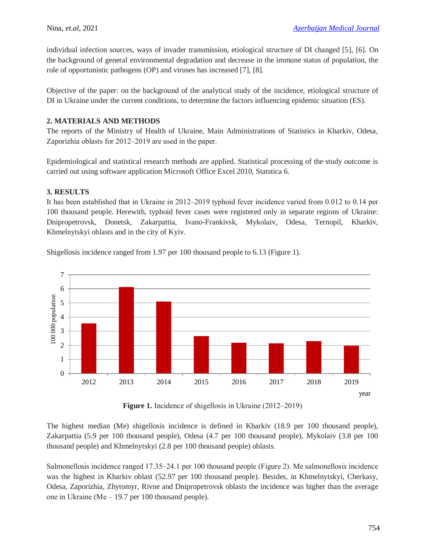individual infection sources, ways of invader transmission, etiological structure of DI changed [5], [6]. On the background of general environmental degradation and decrease in the immune status of population, the role of opportunistic pathogens (OP) and viruses has increased [7], [8].

Objective of the paper: on the background of the analytical study of the incidence, etiological structure of DI in Ukraine under the current conditions, to determine the factors influencing epidemic situation (ES).

## **2. MATERIALS AND METHODS**

The reports of the Ministry of Health of Ukraine, Main Administrations of Statistics in Kharkiv, Odesa, Zaporizhia oblasts for 2012–2019 are used in the paper.

Epidemiological and statistical research methods are applied. Statistical processing of the study outcome is carried out using software application Microsoft Office Excel 2010, Statstica 6.

### **3. RESULTS**

It has been established that in Ukraine in 2012–2019 typhoid fever incidence varied from 0.012 to 0.14 per 100 thousand people. Herewith, typhoid fever cases were registered only in separate regions of Ukraine: Dnipropetrovsk, Donetsk, Zakarpattia, Ivano-Frankivsk, Mykolaiv, Odesa, Ternopil, Kharkiv, Khmelnytskyi oblasts and in the city of Kyiv.

Shigellosis incidence ranged from 1.97 per 100 thousand people to 6.13 (Figure 1).



**Figure 1.** Incidence of shigellosis in Ukraine (2012–2019)

The highest median (Me) shigellosis incidence is defined in Kharkiv (18.9 per 100 thousand people), Zakarpattia (5.9 per 100 thousand people), Odesa (4.7 per 100 thousand people), Mykolaiv (3.8 per 100 thousand people) and Khmelnytskyi (2.8 per 100 thousand people) oblasts.

Salmonellosis incidence ranged 17.35–24.1 per 100 thousand people (Figure 2). Me salmonellosis incidence was the highest in Kharkiv oblast (52.97 per 100 thousand people). Besides, in Khmelnytskyi, Cherkasy, Odesa, Zaporizhia, Zhytomyr, Rivne and Dnipropetrovsk oblasts the incidence was higher than the average one in Ukraine (Ме – 19.7 per 100 thousand people).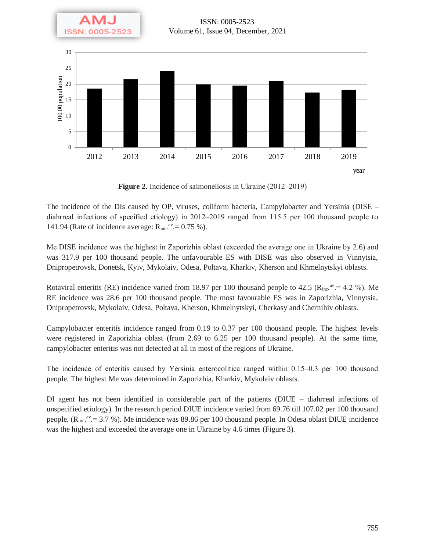

**Figure 2.** Incidence of salmonellosis in Ukraine (2012–2019)

The incidence of the DIs caused by OP, viruses, coliform bacteria, Campylobacter and Yersinia (DISE – diahrreal infections of specified etiology) in 2012–2019 ranged from 115.5 per 100 thousand people to 141.94 (Rate of incidence average:  $R_{inc}$ .<sup>av</sup>. = 0.75 %).

Ме DISE incidence was the highest in Zaporizhia oblast (exceeded the average one in Ukraine by 2.6) and was 317.9 per 100 thousand people. The unfavourable ES with DISE was also observed in Vinnytsia, Dnipropetrovsk, Donetsk, Kyiv, Mykolaiv, Odesa, Poltava, Kharkiv, Kherson and Khmelnytskyi oblasts.

Rotaviral enteritis (RE) incidence varied from 18.97 per 100 thousand people to 42.5 ( $R_{inc}$ <sup>av</sup>. = 4.2 %). Me RE incidence was 28.6 per 100 thousand people. The most favourable ES was in Zaporizhia, Vinnytsia, Dnipropetrovsk, Mykolaiv, Odesa, Poltava, Kherson, Khmelnytskyi, Cherkasy and Chernihiv oblasts.

Campylobacter enteritis incidence ranged from 0.19 to 0.37 per 100 thousand people. The highest levels were registered in Zaporizhia oblast (from 2.69 to 6.25 per 100 thousand people). At the same time, campylobacter enteritis was not detected at all in most of the regions of Ukraine.

The incidence of enteritis caused by Yersinia enterocolitica ranged within 0.15–0.3 per 100 thousand people. The highest Me was determined in Zaporizhia, Kharkiv, Mykolaiv oblasts.

DI agent has not been identified in considerable part of the patients (DIUE – diahrreal infections of unspecified etiology). In the research period DIUE incidence varied from 69.76 till 107.02 per 100 thousand people.  $(R_{inc}^{av} = 3.7 \%)$ . Me incidence was 89.86 per 100 thousand people. In Odesa oblast DIUE incidence was the highest and exceeded the average one in Ukraine by 4.6 times (Figure 3).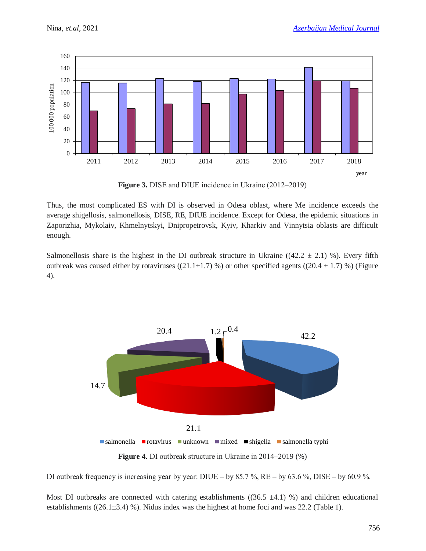

**Figure 3.** DISE and DIUE incidence in Ukraine (2012–2019)

Thus, the most complicated ES with DI is observed in Odesa oblast, where Me incidence exceeds the average shigellosis, salmonellosis, DISE, RE, DIUE incidence. Except for Odesa, the epidemic situations in Zaporizhia, Mykolaiv, Khmelnytskyi, Dnipropetrovsk, Kyiv, Kharkiv and Vinnytsia oblasts are difficult enough.

Salmonellosis share is the highest in the DI outbreak structure in Ukraine ((42.2  $\pm$  2.1) %). Every fifth outbreak was caused either by rotaviruses ((21.1 $\pm$ 1.7) %) or other specified agents ((20.4  $\pm$  1.7) %) (Figure 4).



**Figure 4.** DI outbreak structure in Ukraine in 2014–2019 (%)

DI outbreak frequency is increasing year by year: DIUE – by 85.7 %,  $RE - by 63.6$  %, DISE – by 60.9 %.

Most DI outbreaks are connected with catering establishments ( $(36.5 \pm 4.1)$  %) and children educational establishments ((26.1 $\pm$ 3.4) %). Nidus index was the highest at home foci and was 22.2 (Table 1).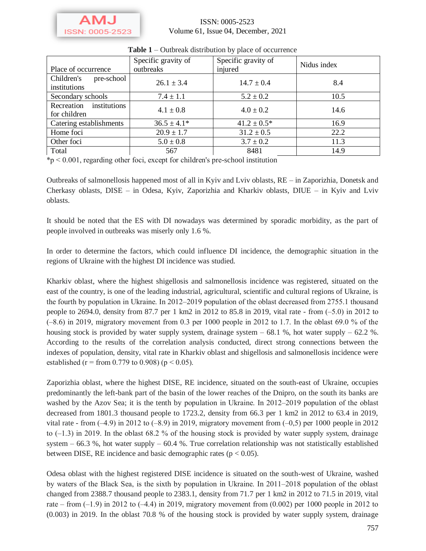

#### ISSN: 0005-2523 Volume 61, Issue 04, December, 2021

| Place of occurrence                      | Specific gravity of<br>outbreaks | Specific gravity of<br>injured | Nidus index |
|------------------------------------------|----------------------------------|--------------------------------|-------------|
| Children's<br>pre-school<br>institutions | $26.1 \pm 3.4$                   | $14.7 \pm 0.4$                 | 8.4         |
| Secondary schools                        | $7.4 \pm 1.1$                    | $5.2 \pm 0.2$                  | 10.5        |
| Recreation institutions<br>for children  | $4.1 \pm 0.8$                    | $4.0 \pm 0.2$                  | 14.6        |
| Catering establishments                  | $36.5 \pm 4.1*$                  | $41.2 \pm 0.5^*$               | 16.9        |
| Home foci                                | $20.9 \pm 1.7$                   | $31.2 \pm 0.5$                 | 22.2        |
| Other foci                               | $5.0 \pm 0.8$                    | $3.7 \pm 0.2$                  | 11.3        |
| Total                                    | 567                              | 8481                           | 14.9        |

| <b>Table 1</b> – Outbreak distribution by place of occurrence |  |
|---------------------------------------------------------------|--|
|---------------------------------------------------------------|--|

\*p < 0.001, regarding other foci, except for сhildren's pre-school institution

Outbreaks of salmonellosis happened most of all in Kyiv and Lviv oblasts, RE – in Zaporizhia, Donetsk and Cherkasy oblasts, DISE – in Odesa, Kyiv, Zaporizhia and Kharkiv oblasts, DIUE – in Kyiv and Lviv oblasts.

It should be noted that the ES with DI nowadays was determined by sporadic morbidity, as the part of people involved in outbreaks was miserly only 1.6 %.

In order to determine the factors, which could influence DI incidence, the demographic situation in the regions of Ukraine with the highest DI incidence was studied.

Kharkiv oblast, where the highest shigellosis and salmonellosis incidence was registered, situated on the east of the country, is one of the leading industrial, agricultural, scientific and cultural regions of Ukraine, is the fourth by population in Ukraine. In 2012–2019 population of the oblast decreased from 2755.1 thousand people to 2694.0, density from 87.7 per 1 km2 in 2012 to 85.8 in 2019, vital rate - from  $(-5.0)$  in 2012 to  $(-8.6)$  in 2019, migratory movement from 0.3 per 1000 people in 2012 to 1.7. In the oblast 69.0 % of the housing stock is provided by water supply system, drainage system – 68.1 %, hot water supply – 62.2 %. According to the results of the correlation analysis conducted, direct strong connections between the indexes of population, density, vital rate in Kharkiv oblast and shigellosis and salmonellosis incidence were established (r = from 0.779 to 0.908) ( $p < 0.05$ ).

Zaporizhia oblast, where the highest DISE, RE incidence, situated on the south-east of Ukraine, occupies predominantly the left-bank part of the basin of the lower reaches of the Dnipro, on the south its banks are washed by the Azov Sea; it is the tenth by population in Ukraine. In 2012–2019 population of the oblast decreased from 1801.3 thousand people to 1723.2, density from 66.3 per 1 km2 in 2012 to 63.4 in 2019, vital rate - from  $(-4.9)$  in 2012 to  $(-8.9)$  in 2019, migratory movement from  $(-0.5)$  per 1000 people in 2012 to  $(-1.3)$  in 2019. In the oblast 68.2 % of the housing stock is provided by water supply system, drainage system  $-66.3$  %, hot water supply  $-60.4$  %. True correlation relationship was not statistically established between DISE, RE incidence and basic demographic rates ( $p < 0.05$ ).

Odesa oblast with the highest registered DISE incidence is situated on the south-west of Ukraine, washed by waters of the Black Sea, is the sixth by population in Ukraine. In 2011–2018 population of the oblast changed from 2388.7 thousand people to 2383.1, density from 71.7 per 1 km2 in 2012 to 71.5 in 2019, vital rate – from  $(-1.9)$  in 2012 to  $(-4.4)$  in 2019, migratory movement from  $(0.002)$  per 1000 people in 2012 to (0.003) in 2019. In the oblast 70.8 % of the housing stock is provided by water supply system, drainage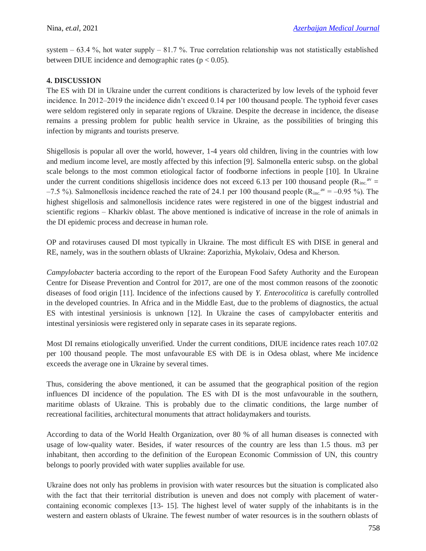system – 63.4 %, hot water supply – 81.7 %. True correlation relationship was not statistically established between DIUE incidence and demographic rates ( $p < 0.05$ ).

# **4. DISCUSSION**

The ES with DI in Ukraine under the current conditions is characterized by low levels of the typhoid fever incidence. In 2012–2019 the incidence didn't exceed 0.14 per 100 thousand people. The typhoid fever cases were seldom registered only in separate regions of Ukraine. Despite the decrease in incidence, the disease remains a pressing problem for public health service in Ukraine, as the possibilities of bringing this infection by migrants and tourists preserve.

Shigellosis is popular all over the world, however, 1-4 years old children, living in the countries with low and medium income level, are mostly affected by this infection [9]. Salmonella enteric subsp. on the global scale belongs to the most common etiological factor of foodborne infections in people [10]. In Ukraine under the current conditions shigellosis incidence does not exceed 6.13 per 100 thousand people ( $R_{inc}^{av}$  = –7.5 %). Salmonellosis incidence reached the rate of 24.1 per 100 thousand people ( $R_{inc}^{av}$  = –0.95 %). The highest shigellosis and salmonellosis incidence rates were registered in one of the biggest industrial and scientific regions – Kharkiv oblast. The above mentioned is indicative of increase in the role of animals in the DI epidemic process and decrease in human role.

OP and rotaviruses caused DI most typically in Ukraine. The most difficult ES with DISE in general and RE, namely, was in the southern oblasts of Ukraine: Zaporizhia, Mykolaiv, Odesa and Kherson.

*Campylobacter* bacteria according to the report of the European Food Safety Authority and the European Centre for Disease Prevention and Control for 2017, are one of the most common reasons of the zoonotic diseases of food origin [11]. Incidence of the infections caused by *Y. Enterocolitica* is carefully controlled in the developed countries. In Africa and in the Middle East, due to the problems of diagnostics, the actual ES with intestinal yersiniosis is unknown [12]. In Ukraine the cases of campylobacter enteritis and intestinal yersiniosis were registered only in separate cases in its separate regions.

Most DI remains etiologically unverified. Under the current conditions, DIUE incidence rates reach 107.02 per 100 thousand people. The most unfavourable ES with DE is in Odesa oblast, where Me incidence exceeds the average one in Ukraine by several times.

Thus, considering the above mentioned, it can be assumed that the geographical position of the region influences DI incidence of the population. The ES with DI is the most unfavourable in the southern, maritime oblasts of Ukraine. This is probably due to the climatic conditions, the large number of recreational facilities, architectural monuments that attract holidaymakers and tourists.

According to data of the World Health Organization, over 80 % of all human diseases is connected with usage of low-quality water. Besides, if water resources of the country are less than 1.5 thous. m3 per inhabitant, then according to the definition of the European Economic Commission of UN, this country belongs to poorly provided with water supplies available for use.

Ukraine does not only has problems in provision with water resources but the situation is complicated also with the fact that their territorial distribution is uneven and does not comply with placement of watercontaining economic complexes [13- 15]. The highest level of water supply of the inhabitants is in the western and eastern oblasts of Ukraine. The fewest number of water resources is in the southern oblasts of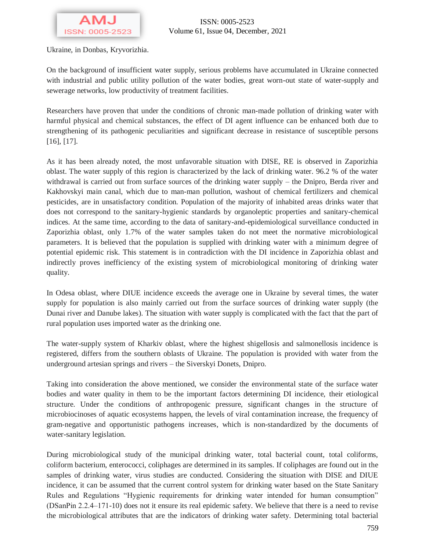

Ukraine, in Donbas, Kryvorizhia.

On the background of insufficient water supply, serious problems have accumulated in Ukraine connected with industrial and public utility pollution of the water bodies, great worn-out state of water-supply and sewerage networks, low productivity of treatment facilities.

Researchers have proven that under the conditions of chronic man-made pollution of drinking water with harmful physical and chemical substances, the effect of DI agent influence can be enhanced both due to strengthening of its pathogenic peculiarities and significant decrease in resistance of susceptible persons [16], [17].

As it has been already noted, the most unfavorable situation with DISE, RE is observed in Zaporizhia oblast. The water supply of this region is characterized by the lack of drinking water. 96.2 % of the water withdrawal is carried out from surface sources of the drinking water supply – the Dnipro, Berda river and Kakhovskyi main canal, which due to man-man pollution, washout of chemical fertilizers and chemical pesticides, are in unsatisfactory condition. Population of the majority of inhabited areas drinks water that does not correspond to the sanitary-hygienic standards by organoleptic properties and sanitary-chemical indices. At the same time, according to the data of sanitary-and-epidemiological surveillance conducted in Zaporizhia oblast, only 1.7% of the water samples taken do not meet the normative microbiological parameters. It is believed that the population is supplied with drinking water with a minimum degree of potential epidemic risk. This statement is in contradiction with the DI incidence in Zaporizhia oblast and indirectly proves inefficiency of the existing system of microbiological monitoring of drinking water quality.

In Odesa oblast, where DIUE incidence exceeds the average one in Ukraine by several times, the water supply for population is also mainly carried out from the surface sources of drinking water supply (the Dunai river and Danube lakes). The situation with water supply is complicated with the fact that the part of rural population uses imported water as the drinking one.

The water-supply system of Kharkiv oblast, where the highest shigellosis and salmonellosis incidence is registered, differs from the southern oblasts of Ukraine. The population is provided with water from the underground artesian springs and rivers – the Siverskyi Donets, Dnipro.

Taking into consideration the above mentioned, we consider the environmental state of the surface water bodies and water quality in them to be the important factors determining DI incidence, their etiological structure. Under the conditions of anthropogenic pressure, significant changes in the structure of microbiocinoses of aquatic ecosystems happen, the levels of viral contamination increase, the frequency of gram-negative and opportunistic pathogens increases, which is non-standardized by the documents of water-sanitary legislation.

During microbiological study of the municipal drinking water, total bacterial count, total coliforms, coliform bacterium, enterococci, coliphages are determined in its samples. If coliphages are found out in the samples of drinking water, virus studies are conducted. Considering the situation with DISE and DIUE incidence, it can be assumed that the current control system for drinking water based on the State Sanitary Rules and Regulations "Hygienic requirements for drinking water intended for human consumption" (DSanPin 2.2.4‒171-10) does not it ensure its real epidemic safety. We believe that there is a need to revise the microbiological attributes that are the indicators of drinking water safety. Determining total bacterial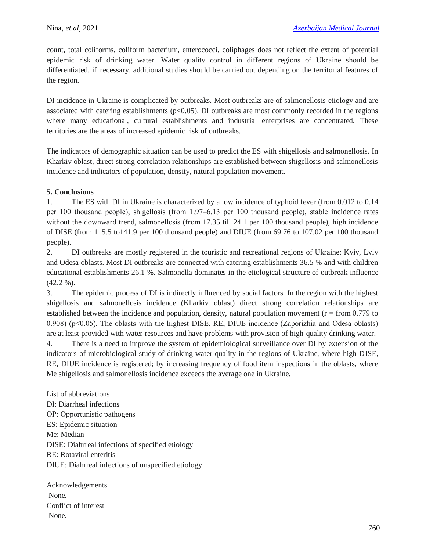count, total coliforms, coliform bacterium, enterococci, coliphages does not reflect the extent of potential epidemic risk of drinking water. Water quality control in different regions of Ukraine should be differentiated, if necessary, additional studies should be carried out depending on the territorial features of the region.

DI incidence in Ukraine is complicated by outbreaks. Most outbreaks are of salmonellosis etiology and are associated with catering establishments ( $p<0.05$ ). DI outbreaks are most commonly recorded in the regions where many educational, cultural establishments and industrial enterprises are concentrated. These territories are the areas of increased epidemic risk of outbreaks.

The indicators of demographic situation can be used to predict the ES with shigellosis and salmonellosis. In Kharkiv oblast, direct strong correlation relationships are established between shigellosis and salmonellosis incidence and indicators of population, density, natural population movement.

#### **5. Conclusions**

1. The ES with DI in Ukraine is characterized by a low incidence of typhoid fever (from 0.012 to 0.14 per 100 thousand people), shigellosis (from 1.97‒6.13 per 100 thousand people), stable incidence rates without the downward trend, salmonellosis (from 17.35 till 24.1 per 100 thousand people), high incidence of DISE (from 115.5 to141.9 per 100 thousand people) and DIUE (from 69.76 to 107.02 per 100 thousand people).

2. DI outbreaks are mostly registered in the touristic and recreational regions of Ukraine: Kyiv, Lviv and Odesa oblasts. Most DI outbreaks are connected with catering establishments 36.5 % and with children educational establishments 26.1 %. Salmonella dominates in the etiological structure of outbreak influence (42.2 %).

3. The epidemic process of DI is indirectly influenced by social factors. In the region with the highest shigellosis and salmonellosis incidence (Kharkiv oblast) direct strong correlation relationships are established between the incidence and population, density, natural population movement ( $r = from 0.779$  to 0.908) (р<0.05). The oblasts with the highest DISE, RE, DIUE incidence (Zaporizhia and Odesa oblasts) are at least provided with water resources and have problems with provision of high-quality drinking water.

4. There is a need to improve the system of epidemiological surveillance over DI by extension of the indicators of microbiological study of drinking water quality in the regions of Ukraine, where high DISE, RE, DIUE incidence is registered; by increasing frequency of food item inspections in the oblasts, where Me shigellosis and salmonellosis incidence exceeds the average one in Ukraine.

List of abbreviations DI: Diarrheal infections OP: Оpportunistic pathogens ES: Epidemic situation Me: Median DISE: Diahrreal infections of specified etiology RE: Rotaviral enteritis DIUE: Diahrreal infections of unspecified etiology

Acknowledgements None. Conflict of interest None.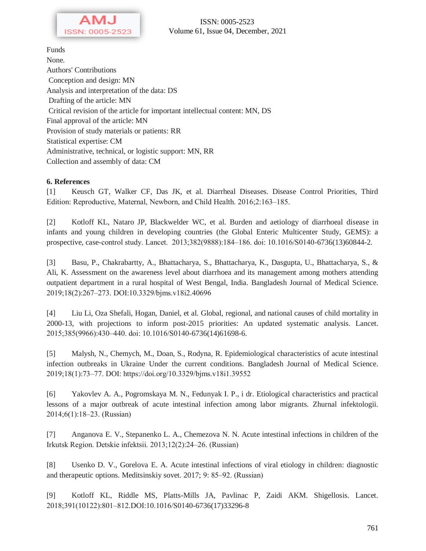

ISSN: 0005-2523 Volume 61, Issue 04, December, 2021

Funds None. Authors' Contributions Conception and design: MN Analysis and interpretation of the data: DS Drafting of the article: MN Critical revision of the article for important intellectual content: MN, DS Final approval of the article: MN Provision of study materials or patients: RR Statistical expertise: CM Administrative, technical, or logistic support: MN, RR Collection and assembly of data: CM

#### **6. References**

[1] Keusch GT, Walker CF, Das JK, et al. Diarrheal Diseases. Disease Control Priorities, Third Edition: Reproductive, Maternal, Newborn, and Child Health. 2016;2:163-185.

[2] Kotloff KL, Nataro JP, Blackwelder WC, et al. Burden and aetiology of diarrhoeal disease in infants and young children in developing countries (the Global Enteric Multicenter Study, GEMS): a prospective, case-control study. Lancet. 2013;382(9888):184‒186. doi: 10.1016/S0140-6736(13)60844-2.

[3] Basu, P., Chakrabartty, A., Bhattacharya, S., Bhattacharya, K., Dasgupta, U., Bhattacharya, S., & Ali, K. Assessment on the awareness level about diarrhoea and its management among mothers attending outpatient department in a rural hospital of West Bengal, India. Bangladesh Journal of Medical Science. 2019;18(2):267‒273. DOI:10.3329/bjms.v18i2.40696

[4] Liu Li, Oza Shefali, Hogan, Daniel, et al. Global, regional, and national causes of child mortality in 2000-13, with projections to inform post-2015 priorities: An updated systematic analysis. Lancet. 2015;385(9966):430‒440. doi: 10.1016/S0140-6736(14)61698-6.

[5] Malysh, N., Chemych, M., Doan, S., Rodyna, R. Epidemiological characteristics of acute intestinal infection outbreaks in Ukraine Under the current conditions. Bangladesh Journal of Medical Science. 2019;18(1):73‒77. DOI: https://doi.org/10.3329/bjms.v18i1.39552

[6] Yakovlev A. A., Pogromskaya M. N., Fedunyak I. P., i dr. Etiological characteristics and practical lessons of a major outbreak of acute intestinal infection among labor migrants. Zhurnal infektologii. 2014;6(1):18‒23. (Russian)

[7] Anganova E. V., Stepanenko L. A., Chemezova N. N. Acute intestinal infections in children of the Irkutsk Region. Detskie infektsii. 2013;12(2):24‒26. (Russian)

[8] Usenko D. V., Gorelova E. A. Acute intestinal infections of viral etiology in children: diagnostic and therapeutic options. Meditsinskiy sovet. 2017; 9: 85–92. (Russian)

[9] Kotloff KL, Riddle MS, Platts-Mills JA, Pavlinac P, Zaidi AKM. Shigellosis. Lancet. 2018;391(10122):801‒812.DOI:10.1016/S0140-6736(17)33296-8